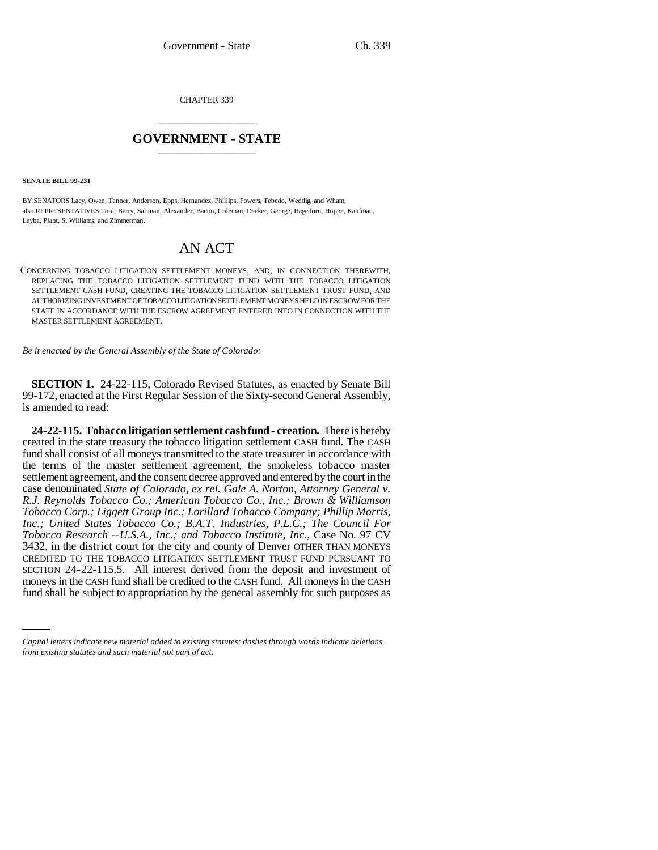CHAPTER 339 \_\_\_\_\_\_\_\_\_\_\_\_\_\_\_

## **GOVERNMENT - STATE** \_\_\_\_\_\_\_\_\_\_\_\_\_\_\_

**SENATE BILL 99-231** 

BY SENATORS Lacy, Owen, Tanner, Anderson, Epps, Hernandez, Phillips, Powers, Tebedo, Weddig, and Wham; also REPRESENTATIVES Tool, Berry, Saliman, Alexander, Bacon, Coleman, Decker, George, Hagedorn, Hoppe, Kaufman, Leyba, Plant, S. Williams, and Zimmerman.

## AN ACT

CONCERNING TOBACCO LITIGATION SETTLEMENT MONEYS, AND, IN CONNECTION THEREWITH, REPLACING THE TOBACCO LITIGATION SETTLEMENT FUND WITH THE TOBACCO LITIGATION SETTLEMENT CASH FUND, CREATING THE TOBACCO LITIGATION SETTLEMENT TRUST FUND, AND AUTHORIZING INVESTMENT OF TOBACCO LITIGATION SETTLEMENT MONEYS HELD IN ESCROW FOR THE STATE IN ACCORDANCE WITH THE ESCROW AGREEMENT ENTERED INTO IN CONNECTION WITH THE MASTER SETTLEMENT AGREEMENT.

*Be it enacted by the General Assembly of the State of Colorado:*

**SECTION 1.** 24-22-115, Colorado Revised Statutes, as enacted by Senate Bill 99-172, enacted at the First Regular Session of the Sixty-second General Assembly, is amended to read:

SECTION 24-22-115.5. All interest derived from the deposit and investment of money in the  $GSEU$  fund abell be englished to the  $GSEU$  fund. All moneys in the  $GSEU$ **24-22-115. Tobacco litigation settlement cash fund - creation.** There is hereby created in the state treasury the tobacco litigation settlement CASH fund. The CASH fund shall consist of all moneys transmitted to the state treasurer in accordance with the terms of the master settlement agreement, the smokeless tobacco master settlement agreement, and the consent decree approved and entered by the court in the case denominated *State of Colorado, ex rel. Gale A. Norton, Attorney General v. R.J. Reynolds Tobacco Co.; American Tobacco Co., Inc.; Brown & Williamson Tobacco Corp.; Liggett Group Inc.; Lorillard Tobacco Company; Phillip Morris, Inc.; United States Tobacco Co.; B.A.T. Industries, P.L.C.; The Council For Tobacco Research --U.S.A., Inc.; and Tobacco Institute, Inc.*, Case No. 97 CV 3432, in the district court for the city and county of Denver OTHER THAN MONEYS CREDITED TO THE TOBACCO LITIGATION SETTLEMENT TRUST FUND PURSUANT TO moneys in the CASH fund shall be credited to the CASH fund. All moneys in the CASH fund shall be subject to appropriation by the general assembly for such purposes as

*Capital letters indicate new material added to existing statutes; dashes through words indicate deletions from existing statutes and such material not part of act.*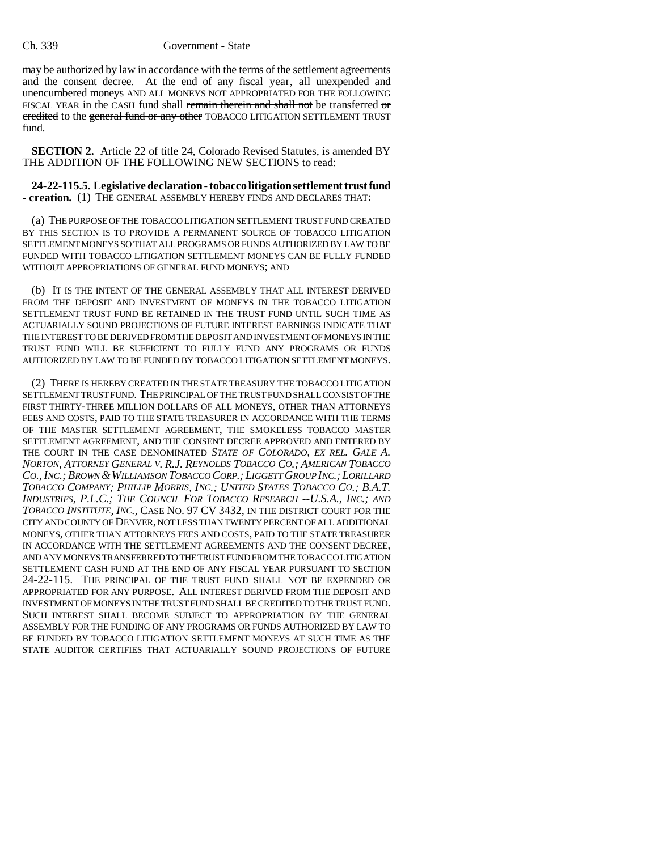## Ch. 339 Government - State

may be authorized by law in accordance with the terms of the settlement agreements and the consent decree. At the end of any fiscal year, all unexpended and unencumbered moneys AND ALL MONEYS NOT APPROPRIATED FOR THE FOLLOWING FISCAL YEAR in the CASH fund shall remain therein and shall not be transferred or credited to the general fund or any other TOBACCO LITIGATION SETTLEMENT TRUST fund.

**SECTION 2.** Article 22 of title 24, Colorado Revised Statutes, is amended BY THE ADDITION OF THE FOLLOWING NEW SECTIONS to read:

**24-22-115.5. Legislative declaration - tobacco litigation settlement trust fund - creation.** (1) THE GENERAL ASSEMBLY HEREBY FINDS AND DECLARES THAT:

(a) THE PURPOSE OF THE TOBACCO LITIGATION SETTLEMENT TRUST FUND CREATED BY THIS SECTION IS TO PROVIDE A PERMANENT SOURCE OF TOBACCO LITIGATION SETTLEMENT MONEYS SO THAT ALL PROGRAMS OR FUNDS AUTHORIZED BY LAW TO BE FUNDED WITH TOBACCO LITIGATION SETTLEMENT MONEYS CAN BE FULLY FUNDED WITHOUT APPROPRIATIONS OF GENERAL FUND MONEYS; AND

(b) IT IS THE INTENT OF THE GENERAL ASSEMBLY THAT ALL INTEREST DERIVED FROM THE DEPOSIT AND INVESTMENT OF MONEYS IN THE TOBACCO LITIGATION SETTLEMENT TRUST FUND BE RETAINED IN THE TRUST FUND UNTIL SUCH TIME AS ACTUARIALLY SOUND PROJECTIONS OF FUTURE INTEREST EARNINGS INDICATE THAT THE INTEREST TO BE DERIVED FROM THE DEPOSIT AND INVESTMENT OF MONEYS IN THE TRUST FUND WILL BE SUFFICIENT TO FULLY FUND ANY PROGRAMS OR FUNDS AUTHORIZED BY LAW TO BE FUNDED BY TOBACCO LITIGATION SETTLEMENT MONEYS.

(2) THERE IS HEREBY CREATED IN THE STATE TREASURY THE TOBACCO LITIGATION SETTLEMENT TRUST FUND. THE PRINCIPAL OF THE TRUST FUND SHALL CONSIST OF THE FIRST THIRTY-THREE MILLION DOLLARS OF ALL MONEYS, OTHER THAN ATTORNEYS FEES AND COSTS, PAID TO THE STATE TREASURER IN ACCORDANCE WITH THE TERMS OF THE MASTER SETTLEMENT AGREEMENT, THE SMOKELESS TOBACCO MASTER SETTLEMENT AGREEMENT, AND THE CONSENT DECREE APPROVED AND ENTERED BY THE COURT IN THE CASE DENOMINATED *STATE OF COLORADO, EX REL. GALE A. NORTON, ATTORNEY GENERAL V. R.J. REYNOLDS TOBACCO CO.; AMERICAN TOBACCO CO.,INC.; BROWN &WILLIAMSON TOBACCO CORP.; LIGGETT GROUP INC.; LORILLARD TOBACCO COMPANY; PHILLIP MORRIS, INC.; UNITED STATES TOBACCO CO.; B.A.T. INDUSTRIES, P.L.C.; THE COUNCIL FOR TOBACCO RESEARCH --U.S.A., INC.; AND TOBACCO INSTITUTE, INC.*, CASE NO. 97 CV 3432, IN THE DISTRICT COURT FOR THE CITY AND COUNTY OF DENVER, NOT LESS THAN TWENTY PERCENT OF ALL ADDITIONAL MONEYS, OTHER THAN ATTORNEYS FEES AND COSTS, PAID TO THE STATE TREASURER IN ACCORDANCE WITH THE SETTLEMENT AGREEMENTS AND THE CONSENT DECREE, AND ANY MONEYS TRANSFERRED TO THE TRUST FUND FROM THE TOBACCO LITIGATION SETTLEMENT CASH FUND AT THE END OF ANY FISCAL YEAR PURSUANT TO SECTION 24-22-115. THE PRINCIPAL OF THE TRUST FUND SHALL NOT BE EXPENDED OR APPROPRIATED FOR ANY PURPOSE. ALL INTEREST DERIVED FROM THE DEPOSIT AND INVESTMENT OF MONEYS IN THE TRUST FUND SHALL BE CREDITED TO THE TRUST FUND. SUCH INTEREST SHALL BECOME SUBJECT TO APPROPRIATION BY THE GENERAL ASSEMBLY FOR THE FUNDING OF ANY PROGRAMS OR FUNDS AUTHORIZED BY LAW TO BE FUNDED BY TOBACCO LITIGATION SETTLEMENT MONEYS AT SUCH TIME AS THE STATE AUDITOR CERTIFIES THAT ACTUARIALLY SOUND PROJECTIONS OF FUTURE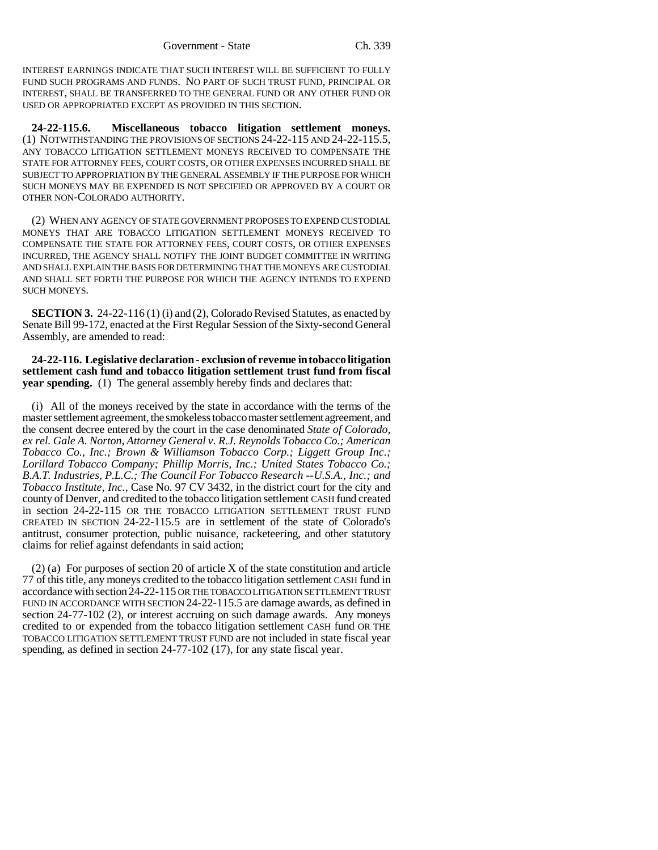INTEREST EARNINGS INDICATE THAT SUCH INTEREST WILL BE SUFFICIENT TO FULLY FUND SUCH PROGRAMS AND FUNDS. NO PART OF SUCH TRUST FUND, PRINCIPAL OR INTEREST, SHALL BE TRANSFERRED TO THE GENERAL FUND OR ANY OTHER FUND OR USED OR APPROPRIATED EXCEPT AS PROVIDED IN THIS SECTION.

**24-22-115.6. Miscellaneous tobacco litigation settlement moneys.** (1) NOTWITHSTANDING THE PROVISIONS OF SECTIONS 24-22-115 AND 24-22-115.5, ANY TOBACCO LITIGATION SETTLEMENT MONEYS RECEIVED TO COMPENSATE THE STATE FOR ATTORNEY FEES, COURT COSTS, OR OTHER EXPENSES INCURRED SHALL BE SUBJECT TO APPROPRIATION BY THE GENERAL ASSEMBLY IF THE PURPOSE FOR WHICH SUCH MONEYS MAY BE EXPENDED IS NOT SPECIFIED OR APPROVED BY A COURT OR OTHER NON-COLORADO AUTHORITY.

(2) WHEN ANY AGENCY OF STATE GOVERNMENT PROPOSES TO EXPEND CUSTODIAL MONEYS THAT ARE TOBACCO LITIGATION SETTLEMENT MONEYS RECEIVED TO COMPENSATE THE STATE FOR ATTORNEY FEES, COURT COSTS, OR OTHER EXPENSES INCURRED, THE AGENCY SHALL NOTIFY THE JOINT BUDGET COMMITTEE IN WRITING AND SHALL EXPLAIN THE BASIS FOR DETERMINING THAT THE MONEYS ARE CUSTODIAL AND SHALL SET FORTH THE PURPOSE FOR WHICH THE AGENCY INTENDS TO EXPEND SUCH MONEYS.

**SECTION 3.** 24-22-116 (1) (i) and (2), Colorado Revised Statutes, as enacted by Senate Bill 99-172, enacted at the First Regular Session of the Sixty-second General Assembly, are amended to read:

**24-22-116. Legislative declaration - exclusion of revenue in tobacco litigation settlement cash fund and tobacco litigation settlement trust fund from fiscal year spending.** (1) The general assembly hereby finds and declares that:

(i) All of the moneys received by the state in accordance with the terms of the master settlement agreement, the smokeless tobacco master settlement agreement, and the consent decree entered by the court in the case denominated *State of Colorado, ex rel. Gale A. Norton, Attorney General v. R.J. Reynolds Tobacco Co.; American Tobacco Co., Inc.; Brown & Williamson Tobacco Corp.; Liggett Group Inc.; Lorillard Tobacco Company; Phillip Morris, Inc.; United States Tobacco Co.; B.A.T. Industries, P.L.C.; The Council For Tobacco Research --U.S.A., Inc.; and Tobacco Institute, Inc.*, Case No. 97 CV 3432, in the district court for the city and county of Denver, and credited to the tobacco litigation settlement CASH fund created in section 24-22-115 OR THE TOBACCO LITIGATION SETTLEMENT TRUST FUND CREATED IN SECTION 24-22-115.5 are in settlement of the state of Colorado's antitrust, consumer protection, public nuisance, racketeering, and other statutory claims for relief against defendants in said action;

(2) (a) For purposes of section 20 of article X of the state constitution and article 77 of this title, any moneys credited to the tobacco litigation settlement CASH fund in accordance with section 24-22-115 OR THE TOBACCO LITIGATION SETTLEMENT TRUST FUND IN ACCORDANCE WITH SECTION 24-22-115.5 are damage awards, as defined in section 24-77-102 (2), or interest accruing on such damage awards. Any moneys credited to or expended from the tobacco litigation settlement CASH fund OR THE TOBACCO LITIGATION SETTLEMENT TRUST FUND are not included in state fiscal year spending, as defined in section 24-77-102 (17), for any state fiscal year.